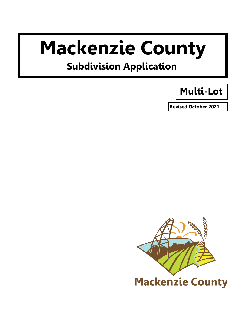# **Mackenzie County**

# **Subdivision Application**

# **Multi-Lot**

**Revised October 2021** 

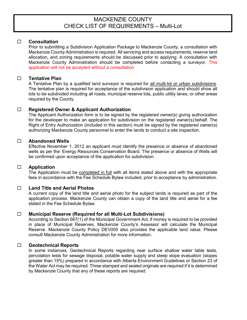# MACKENZIE COUNTY CHECK LIST OF REQUIREMENTS – Multi-Lot

## **Consultation**

Prior to submitting a Subdivision Application Package to Mackenzie County, a consultation with Mackenzie County Administration is required. All servicing and access requirements, reserve land allocation, and zoning requirements should be discussed prior to applying. A consultation with Mackenzie County Administration should be completed before contacting a surveyor. This application will not be accepted without a consultation.

# **Tentative Plan**

A Tentative Plan by a qualified land surveyor is required for all multi-lot or urban subdivisions. The tentative plan is required for acceptance of the subdivision application and should show all lots to be subdivided including all roads, municipal reserve lots, public utility lanes, or other areas required by the County.

# **Registered Owner & Applicant Authorization**

The Applicant Authorization form is to be signed by the registered owner(s) giving authorization for the developer to make an application for subdivision on the registered owner(s) behalf. The Right of Entry Authorization (included in this section) must be signed by the registered owner(s) authorizing Mackenzie County personnel to enter the lands to conduct a site inspection.

# **Abandoned Wells**

Effective November 1, 2012 an applicant must identify the presence or absence of abandoned wells as per the Energy Resources Conservation Board. The presence or absence of Wells will be confirmed upon acceptance of the application for subdivision.

#### **Application**

The Application must be completed in full with all items stated above and with the appropriate fees in accordance with the Fee Schedule Bylaw included, prior to acceptance by administration.

#### **Land Title and Aerial Photos**

A current copy of the land title and aerial photo for the subject lands is required as part of the application process. Mackenzie County can obtain a copy of the land title and aerial for a fee stated in the Fee Schedule Bylaw.

### **Municipal Reserve (Required for all Multi-Lot Subdivisions)**

According to Section 667(1) of the Municipal Government Act, if money is required to be provided in place of Municipal Reserves, Mackenzie County's Assessor will calculate the Municipal Reserve. Mackenzie County Policy DEV005 also provides the applicable land value. Please consult Mackenzie County Administration for more information.

#### **Geotechnical Reports**

In some instances, Geotechnical Reports regarding near surface shallow water table tests, percolation tests for sewage disposal, potable water supply and steep slope evaluation (slopes greater than 15%) prepared in accordance with Alberta Environment Guidelines or Section 23 of the Water Act may be required. Three stamped and sealed originals are required if it is determined by Mackenzie County that any of these reports are required.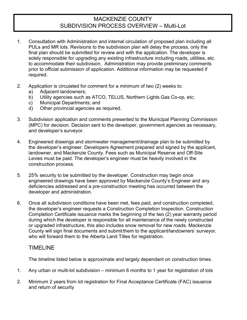# MACKENZIE COUNTY SUBDIVISION PROCESS OVERVIEW – Multi-Lot

- 1. Consultation with Administration and internal circulation of proposed plan including all PULs and MR lots. Revisions to the subdivision plan will delay the process, only the final plan should be submitted for review and with the application. The developer is solely responsible for upgrading any existing infrastructure including roads, utilities, etc. to accommodate their subdivision. Administration may provide preliminary comments prior to official submission of application. Additional information may be requested if required.
- 2. Application is circulated for comment for a minimum of two (2) weeks to:
	- a) Adjacent landowners;
	- b) Utility agencies such as ATCO, TELUS, Northern Lights Gas Co-op, etc;
	- c) Municipal Departments; and
	- d) Other provincial agencies as required.
- 3. Subdivision application and comments presented to the Municipal Planning Commission (MPC) for decision. Decision sent to the developer, government agencies as necessary, and developer's surveyor.
- 4. Engineered drawings and stormwater management/drainage plan to be submitted by the developer's engineer. Developers Agreement prepared and signed by the applicant, landowner, and Mackenzie County. Fees such as Municipal Reserve and Off-Site Levies must be paid. The developer's engineer must be heavily involved in the construction process.
- 5. 25% security to be submitted by the developer. Construction may begin once engineered drawings have been approved by Mackenzie County's Engineer and any deficiencies addressed and a pre-construction meeting has occurred between the developer and administration.
- 6. Once all subdivision conditions have been met, fees paid, and construction completed, the developer's engineer requests a Construction Completion Inspection. Construction Completion Certificate issuance marks the beginning of the two (2) year warranty period during which the developer is responsible for all maintenance of the newly constructed or upgraded infrastructure, this also includes snow removal for new roads. Mackenzie County will sign final documents and submitthem to the applicant/landowners' surveyor, who will forward them to the Alberta Land Titles for registration.

# TIMELINE

The timeline listed below is approximate and largely dependant on construction times.

- 1. Any urban or multi-lot subdivision minimum 6 months to 1 year for registration of lots
- 2. Minimum 2 years from lot registration for Final Acceptance Certificate (FAC) issuance and return of security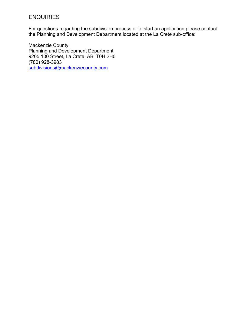# ENQUIRIES

For questions regarding the subdivision process or to start an application please contact the Planning and Development Department located at the La Crete sub-office:

Mackenzie County Planning and Development Department 9205 100 Street, La Crete, AB T0H 2H0 (780) 928-3983 [subdivisions@mackenziecounty.com](mailto:subdivisions@mackenziecounty.com)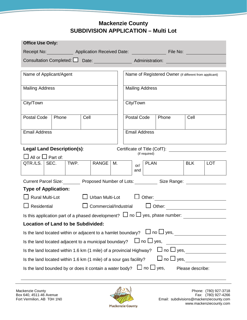# **Mackenzie County SUBDIVISION APPLICATION – Multi Lot**

| <b>Office Use Only:</b>                                                                                          |                                   |                                                                    |                       |    |  |             |                        |                                                                                       |            |            |
|------------------------------------------------------------------------------------------------------------------|-----------------------------------|--------------------------------------------------------------------|-----------------------|----|--|-------------|------------------------|---------------------------------------------------------------------------------------|------------|------------|
| Receipt No: <b>Application Received Date:</b> File No:                                                           |                                   |                                                                    |                       |    |  |             |                        |                                                                                       |            |            |
| Consultation Completed: U Date: Administration: 2008                                                             |                                   |                                                                    |                       |    |  |             |                        |                                                                                       |            |            |
|                                                                                                                  |                                   |                                                                    |                       |    |  |             |                        |                                                                                       |            |            |
| Name of Applicant/Agent                                                                                          |                                   |                                                                    |                       |    |  |             |                        | Name of Registered Owner (if different from applicant)                                |            |            |
| <b>Mailing Address</b>                                                                                           |                                   |                                                                    |                       |    |  |             | <b>Mailing Address</b> |                                                                                       |            |            |
| City/Town                                                                                                        |                                   |                                                                    |                       |    |  | City/Town   |                        |                                                                                       |            |            |
| <b>Postal Code</b>                                                                                               | Phone                             | Cell                                                               |                       |    |  | Postal Code |                        | Phone                                                                                 | Cell       |            |
| <b>Email Address</b>                                                                                             |                                   |                                                                    |                       |    |  |             | <b>Email Address</b>   |                                                                                       |            |            |
|                                                                                                                  |                                   |                                                                    |                       |    |  |             |                        |                                                                                       |            |            |
|                                                                                                                  | <b>Legal Land Description(s):</b> |                                                                    |                       |    |  |             |                        | Certificate of Title (CofT): <u>_____________________</u>                             |            |            |
|                                                                                                                  | $\Box$ All or $\Box$ Part of:     |                                                                    |                       |    |  |             | (if required)          |                                                                                       |            |            |
| QTR./LS. SEC.                                                                                                    |                                   | TWP.                                                               | <b>RANGE</b>          | М. |  | or/<br>and  | <b>PLAN</b>            |                                                                                       | <b>BLK</b> | <b>LOT</b> |
|                                                                                                                  | <b>Current Parcel Size:</b>       |                                                                    |                       |    |  |             |                        | Proposed Number of Lots: Size Range:                                                  |            |            |
|                                                                                                                  | <b>Type of Application:</b>       |                                                                    |                       |    |  |             |                        |                                                                                       |            |            |
|                                                                                                                  | <b>Rural Multi-Lot</b>            |                                                                    | Urban Multi-Lot       |    |  |             |                        | $\Box$ Other:                                                                         |            |            |
| Residential                                                                                                      |                                   |                                                                    | Commercial/Industrial |    |  |             |                        | $\Box$ Other:                                                                         |            |            |
|                                                                                                                  |                                   |                                                                    |                       |    |  |             |                        | Is this application part of a phased development? $\Box$ no $\Box$ yes, phase number: |            |            |
| <b>Location of Land to be Subdivided:</b>                                                                        |                                   |                                                                    |                       |    |  |             |                        |                                                                                       |            |            |
| Is the land located within or adjacent to a hamlet boundary?                                                     |                                   |                                                                    |                       |    |  |             |                        |                                                                                       |            |            |
| $\Box$ no $\Box$ yes,<br>Is the land located adjacent to a municipal boundary?                                   |                                   |                                                                    |                       |    |  |             |                        |                                                                                       |            |            |
| $\square$ no $\square$ yes, _____________<br>Is the land located within 1.6 km (1 mile) of a provincial Highway? |                                   |                                                                    |                       |    |  |             |                        |                                                                                       |            |            |
|                                                                                                                  |                                   | Is the land located within 1.6 km (1 mile) of a sour gas facility? |                       |    |  |             |                        | $\Box$ no $\Box$ yes,                                                                 |            |            |
| Is the land bounded by or does it contain a water body? $\Box$ no $\Box$ yes,<br>Please describe:                |                                   |                                                                    |                       |    |  |             |                        |                                                                                       |            |            |

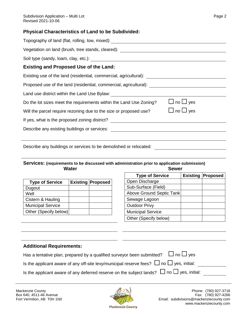# **Physical Characteristics of Land to be Subdivided:**

| Topography of land (flat, rolling, low, mixed): Topography of land (flat, rolling, low, mixed):     |                      |
|-----------------------------------------------------------------------------------------------------|----------------------|
| Vegetation on land (brush, tree stands, cleared): ______________________________                    |                      |
|                                                                                                     |                      |
| <b>Existing and Proposed Use of the Land:</b>                                                       |                      |
| Existing use of the land (residential, commercial, agricultural): _________________________________ |                      |
| Proposed use of the land (residential, commercial, agricultural): _______________                   |                      |
| Land use district within the Land Use Bylaw: ___________________________________                    |                      |
| Do the lot sizes meet the requirements within the Land Use Zoning?                                  | $\Box$ no $\Box$ yes |
| Will the parcel require rezoning due to the size or proposed use?                                   | $\Box$ no $\Box$ yes |
|                                                                                                     |                      |
| Describe any existing buildings or services: Describe any existing                                  |                      |
|                                                                                                     |                      |

Describe any buildings or services to be demolished or relocated:

# **Services: (requirements to be discussed with administration prior to application submission) Water Sewer**

| <b>Type of Service</b>   | <b>Existing Proposed</b> |
|--------------------------|--------------------------|
| Dugout                   |                          |
| Well                     |                          |
| Cistern & Hauling        |                          |
| <b>Municipal Service</b> |                          |
| Other (Specify below)    |                          |

| <b>Type of Service</b>   | <b>Existing Proposed</b> |
|--------------------------|--------------------------|
| Open Discharge           |                          |
| Sub-Surface (Field)      |                          |
| Above Ground Septic Tank |                          |
| Sewage Lagoon            |                          |
| <b>Outdoor Privy</b>     |                          |
| <b>Municipal Service</b> |                          |
| Other (Specify below)    |                          |

# **Additional Requirements:**

| Auditional Increase children                                                                        |
|-----------------------------------------------------------------------------------------------------|
| Has a tentative plan, prepared by a qualified surveyor been submitted? $\Box$ no $\Box$ yes         |
| Is the applicant aware of any off-site levy/municipal reserve fees? $\Box$ no $\Box$ yes, initial:  |
| Is the applicant aware of any deferred reserve on the subject lands? $\Box$ no $\Box$ yes, initial: |



Mackenzie County (780) 927-3718<br>Box 640, 4511-46 Avenue (780) 927-4266 Email: subdivisions@mackenziecounty.com www.mackenziecounty.com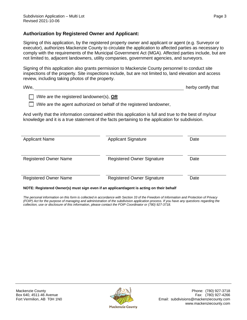# **Authorization by Registered Owner and Applicant:**

Signing of this application, by the registered property owner and applicant or agent (e.g. Surveyor or executor), authorizes Mackenzie County to circulate the application to affected parties as necessary to comply with the requirements of the Municipal Government Act (MGA). Affected parties include, but are not limited to, adjacent landowners, utility companies, government agencies, and surveyors.

Signing of this application also grants permission to Mackenzie County personnel to conduct site inspections of the property. Site inspections include, but are not limited to, land elevation and access review, including taking photos of the property.

| I/We |  | herby certify that |  |
|------|--|--------------------|--|
|      |  |                    |  |

I/We are the registered landowner(s), **OR**

 $\Box$  I/We are the agent authorized on behalf of the registered landowner,

And verify that the information contained within this application is full and true to the best of my/our knowledge and it is a true statement of the facts pertaining to the application for subdivision.

| <b>Applicant Name</b>        | <b>Applicant Signature</b>        | Date |
|------------------------------|-----------------------------------|------|
| <b>Registered Owner Name</b> | <b>Registered Owner Signature</b> | Date |
| <b>Registered Owner Name</b> | <b>Registered Owner Signature</b> | Date |

#### **NOTE: Registered Owner(s) must sign even if an applicant/agent is acting on their behalf**

*The personal information on this form is collected in accordance with Section 33 of the Freedom of Information and Protection of Privacy (FOIP) Act for the purpose of managing and administration of the subdivision application process. If you have any questions regarding the collection, use or disclosure of this information, please contact the FOIP Coordinator or (780) 927-3718.*